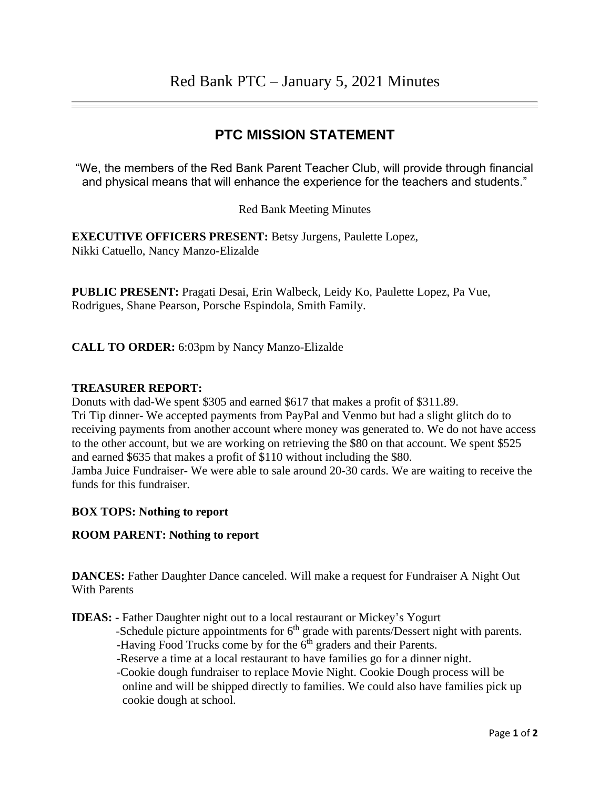## **PTC MISSION STATEMENT**

"We, the members of the Red Bank Parent Teacher Club, will provide through financial and physical means that will enhance the experience for the teachers and students."

Red Bank Meeting Minutes

**EXECUTIVE OFFICERS PRESENT:** Betsy Jurgens, Paulette Lopez, Nikki Catuello, Nancy Manzo-Elizalde

**PUBLIC PRESENT:** Pragati Desai, Erin Walbeck, Leidy Ko, Paulette Lopez, Pa Vue, Rodrigues, Shane Pearson, Porsche Espindola, Smith Family.

**CALL TO ORDER:** 6:03pm by Nancy Manzo-Elizalde

#### **TREASURER REPORT:**

Donuts with dad-We spent \$305 and earned \$617 that makes a profit of \$311.89. Tri Tip dinner- We accepted payments from PayPal and Venmo but had a slight glitch do to receiving payments from another account where money was generated to. We do not have access to the other account, but we are working on retrieving the \$80 on that account. We spent \$525 and earned \$635 that makes a profit of \$110 without including the \$80. Jamba Juice Fundraiser- We were able to sale around 20-30 cards. We are waiting to receive the funds for this fundraiser.

#### **BOX TOPS: Nothing to report**

#### **ROOM PARENT: Nothing to report**

**DANCES:** Father Daughter Dance canceled. Will make a request for Fundraiser A Night Out With Parents

**IDEAS: -** Father Daughter night out to a local restaurant or Mickey's Yogurt

-Schedule picture appointments for  $6<sup>th</sup>$  grade with parents/Dessert night with parents. -Having Food Trucks come by for the 6<sup>th</sup> graders and their Parents.

-Reserve a time at a local restaurant to have families go for a dinner night.

 -Cookie dough fundraiser to replace Movie Night. Cookie Dough process will be online and will be shipped directly to families. We could also have families pick up cookie dough at school.